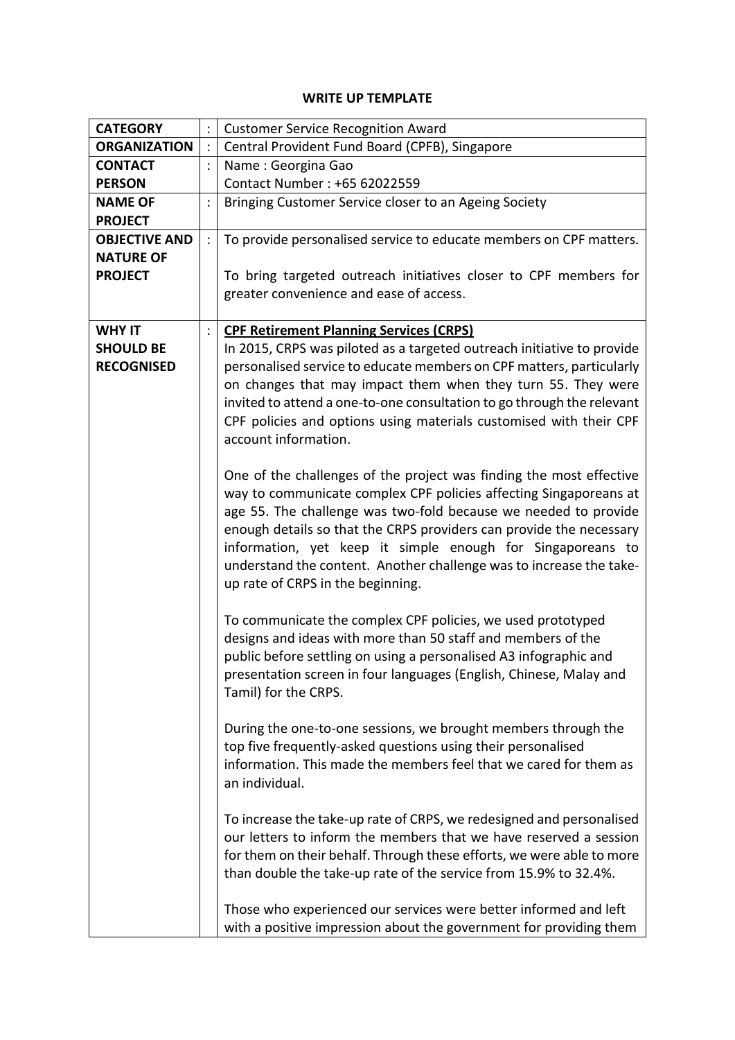## **WRITE UP TEMPLATE**

| <b>CATEGORY</b>      |                | <b>Customer Service Recognition Award</b>                              |  |  |  |
|----------------------|----------------|------------------------------------------------------------------------|--|--|--|
| <b>ORGANIZATION</b>  | $\ddot{\cdot}$ | Central Provident Fund Board (CPFB), Singapore                         |  |  |  |
| <b>CONTACT</b>       | $\ddot{\cdot}$ | Name: Georgina Gao                                                     |  |  |  |
| <b>PERSON</b>        |                | Contact Number: +65 62022559                                           |  |  |  |
| <b>NAME OF</b>       | $\ddot{\cdot}$ | Bringing Customer Service closer to an Ageing Society                  |  |  |  |
| <b>PROJECT</b>       |                |                                                                        |  |  |  |
| <b>OBJECTIVE AND</b> | $\ddot{\cdot}$ | To provide personalised service to educate members on CPF matters.     |  |  |  |
| <b>NATURE OF</b>     |                |                                                                        |  |  |  |
| <b>PROJECT</b>       |                | To bring targeted outreach initiatives closer to CPF members for       |  |  |  |
|                      |                | greater convenience and ease of access.                                |  |  |  |
|                      |                |                                                                        |  |  |  |
| <b>WHY IT</b>        | $\ddot{\cdot}$ | <b>CPF Retirement Planning Services (CRPS)</b>                         |  |  |  |
| <b>SHOULD BE</b>     |                | In 2015, CRPS was piloted as a targeted outreach initiative to provide |  |  |  |
| <b>RECOGNISED</b>    |                | personalised service to educate members on CPF matters, particularly   |  |  |  |
|                      |                | on changes that may impact them when they turn 55. They were           |  |  |  |
|                      |                | invited to attend a one-to-one consultation to go through the relevant |  |  |  |
|                      |                | CPF policies and options using materials customised with their CPF     |  |  |  |
|                      |                | account information.                                                   |  |  |  |
|                      |                |                                                                        |  |  |  |
|                      |                | One of the challenges of the project was finding the most effective    |  |  |  |
|                      |                | way to communicate complex CPF policies affecting Singaporeans at      |  |  |  |
|                      |                | age 55. The challenge was two-fold because we needed to provide        |  |  |  |
|                      |                | enough details so that the CRPS providers can provide the necessary    |  |  |  |
|                      |                | information, yet keep it simple enough for Singaporeans to             |  |  |  |
|                      |                | understand the content. Another challenge was to increase the take-    |  |  |  |
|                      |                | up rate of CRPS in the beginning.                                      |  |  |  |
|                      |                |                                                                        |  |  |  |
|                      |                | To communicate the complex CPF policies, we used prototyped            |  |  |  |
|                      |                | designs and ideas with more than 50 staff and members of the           |  |  |  |
|                      |                | public before settling on using a personalised A3 infographic and      |  |  |  |
|                      |                | presentation screen in four languages (English, Chinese, Malay and     |  |  |  |
|                      |                | Tamil) for the CRPS.                                                   |  |  |  |
|                      |                |                                                                        |  |  |  |
|                      |                | During the one-to-one sessions, we brought members through the         |  |  |  |
|                      |                | top five frequently-asked questions using their personalised           |  |  |  |
|                      |                | information. This made the members feel that we cared for them as      |  |  |  |
|                      |                | an individual.                                                         |  |  |  |
|                      |                |                                                                        |  |  |  |
|                      |                | To increase the take-up rate of CRPS, we redesigned and personalised   |  |  |  |
|                      |                | our letters to inform the members that we have reserved a session      |  |  |  |
|                      |                | for them on their behalf. Through these efforts, we were able to more  |  |  |  |
|                      |                | than double the take-up rate of the service from 15.9% to 32.4%.       |  |  |  |
|                      |                | Those who experienced our services were better informed and left       |  |  |  |
|                      |                |                                                                        |  |  |  |
|                      |                | with a positive impression about the government for providing them     |  |  |  |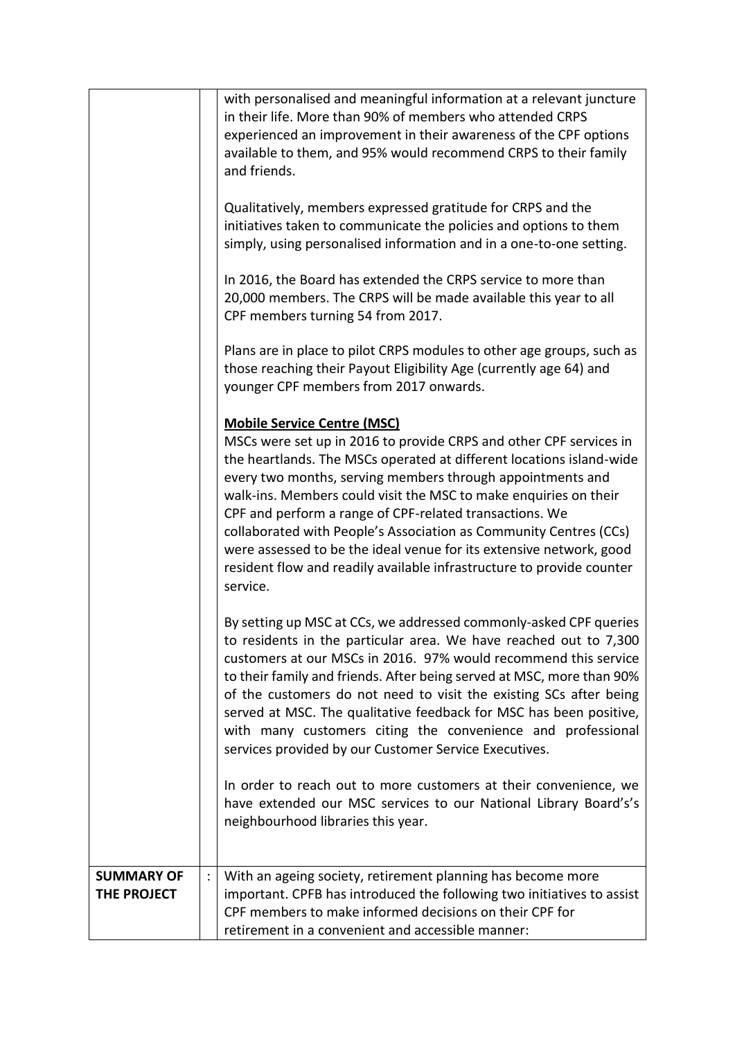|                                  | with personalised and meaningful information at a relevant juncture<br>in their life. More than 90% of members who attended CRPS<br>experienced an improvement in their awareness of the CPF options<br>available to them, and 95% would recommend CRPS to their family<br>and friends.<br>Qualitatively, members expressed gratitude for CRPS and the<br>initiatives taken to communicate the policies and options to them<br>simply, using personalised information and in a one-to-one setting.<br>In 2016, the Board has extended the CRPS service to more than<br>20,000 members. The CRPS will be made available this year to all<br>CPF members turning 54 from 2017.<br>Plans are in place to pilot CRPS modules to other age groups, such as<br>those reaching their Payout Eligibility Age (currently age 64) and<br>younger CPF members from 2017 onwards.<br><b>Mobile Service Centre (MSC)</b><br>MSCs were set up in 2016 to provide CRPS and other CPF services in<br>the heartlands. The MSCs operated at different locations island-wide<br>every two months, serving members through appointments and<br>walk-ins. Members could visit the MSC to make enquiries on their<br>CPF and perform a range of CPF-related transactions. We<br>collaborated with People's Association as Community Centres (CCs)<br>were assessed to be the ideal venue for its extensive network, good<br>resident flow and readily available infrastructure to provide counter<br>service.<br>By setting up MSC at CCs, we addressed commonly-asked CPF queries<br>to residents in the particular area. We have reached out to 7,300<br>customers at our MSCs in 2016. 97% would recommend this service<br>to their family and friends. After being served at MSC, more than 90%<br>of the customers do not need to visit the existing SCs after being<br>served at MSC. The qualitative feedback for MSC has been positive,<br>with many customers citing the convenience and professional<br>services provided by our Customer Service Executives.<br>In order to reach out to more customers at their convenience, we<br>have extended our MSC services to our National Library Board's's<br>neighbourhood libraries this year. |
|----------------------------------|---------------------------------------------------------------------------------------------------------------------------------------------------------------------------------------------------------------------------------------------------------------------------------------------------------------------------------------------------------------------------------------------------------------------------------------------------------------------------------------------------------------------------------------------------------------------------------------------------------------------------------------------------------------------------------------------------------------------------------------------------------------------------------------------------------------------------------------------------------------------------------------------------------------------------------------------------------------------------------------------------------------------------------------------------------------------------------------------------------------------------------------------------------------------------------------------------------------------------------------------------------------------------------------------------------------------------------------------------------------------------------------------------------------------------------------------------------------------------------------------------------------------------------------------------------------------------------------------------------------------------------------------------------------------------------------------------------------------------------------------------------------------------------------------------------------------------------------------------------------------------------------------------------------------------------------------------------------------------------------------------------------------------------------------------------------------------------------------------------------------------------------------------------------------------------------------------------------------------------|
| <b>SUMMARY OF</b><br>THE PROJECT | With an ageing society, retirement planning has become more<br>important. CPFB has introduced the following two initiatives to assist<br>CPF members to make informed decisions on their CPF for<br>retirement in a convenient and accessible manner:                                                                                                                                                                                                                                                                                                                                                                                                                                                                                                                                                                                                                                                                                                                                                                                                                                                                                                                                                                                                                                                                                                                                                                                                                                                                                                                                                                                                                                                                                                                                                                                                                                                                                                                                                                                                                                                                                                                                                                           |